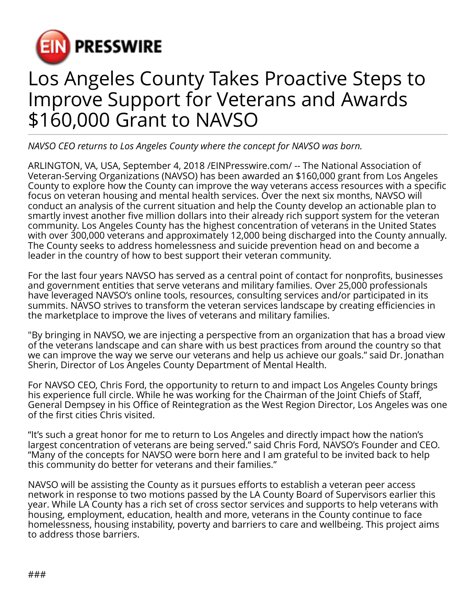

## Los Angeles County Takes Proactive Steps to Improve Support for Veterans and Awards \$160,000 Grant to NAVSO

*NAVSO CEO returns to Los Angeles County where the concept for NAVSO was born.*

ARLINGTON, VA, USA, September 4, 2018 [/EINPresswire.com](http://www.einpresswire.com)/ -- The National Association of Veteran-Serving Organizations (NAVSO) has been awarded an \$160,000 grant from Los Angeles County to explore how the County can improve the way veterans access resources with a specific focus on veteran housing and mental health services. Over the next six months, NAVSO will conduct an analysis of the current situation and help the County develop an actionable plan to smartly invest another five million dollars into their already rich support system for the veteran community. Los Angeles County has the highest concentration of veterans in the United States with over 300,000 veterans and approximately 12,000 being discharged into the County annually. The County seeks to address homelessness and suicide prevention head on and become a leader in the country of how to best support their veteran community.

For the last four years NAVSO has served as a central point of contact for nonprofits, businesses and government entities that serve veterans and military families. Over 25,000 professionals have leveraged NAVSO's online tools, resources, consulting services and/or participated in its summits. NAVSO strives to transform the veteran services landscape by creating efficiencies in the marketplace to improve the lives of veterans and military families.

"By bringing in NAVSO, we are injecting a perspective from an organization that has a broad view of the veterans landscape and can share with us best practices from around the country so that we can improve the way we serve our veterans and help us achieve our goals." said Dr. Jonathan Sherin, Director of Los Angeles County Department of Mental Health.

For NAVSO CEO, Chris Ford, the opportunity to return to and impact Los Angeles County brings his experience full circle. While he was working for the Chairman of the Joint Chiefs of Staff, General Dempsey in his Office of Reintegration as the West Region Director, Los Angeles was one of the first cities Chris visited.

"It's such a great honor for me to return to Los Angeles and directly impact how the nation's largest concentration of veterans are being served." said Chris Ford, NAVSO's Founder and CEO. "Many of the concepts for NAVSO were born here and I am grateful to be invited back to help this community do better for veterans and their families."

NAVSO will be assisting the County as it pursues efforts to establish a veteran peer access network in response to two motions passed by the LA County Board of Supervisors earlier this year. While LA County has a rich set of cross sector services and supports to help veterans with housing, employment, education, health and more, veterans in the County continue to face homelessness, housing instability, poverty and barriers to care and wellbeing. This project aims to address those barriers.